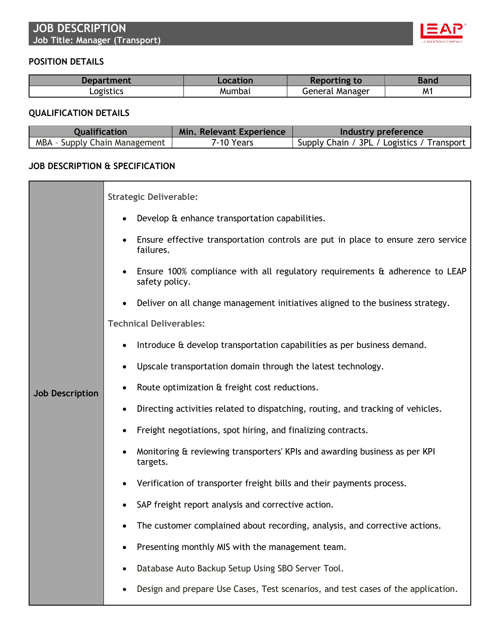

## **POSITION DETAILS**

| Department | ocation | ıno<br><b>to</b><br><b>REDOL</b> | Banc |
|------------|---------|----------------------------------|------|
| Logistics  | Mumba.  | General<br>. Manager             | M1   |

## **QUALIFICATION DETAILS**

| <b>Qualification</b>          | Min. Relevant Experience | Industry preference                        |
|-------------------------------|--------------------------|--------------------------------------------|
| MBA - Supply Chain Management | 7-10 Years               | Supply Chain / 3PL / Logistics / Transport |

## **JOB DESCRIPTION & SPECIFICATION**

| <b>Job Description</b> | <b>Strategic Deliverable:</b>                                                                 |
|------------------------|-----------------------------------------------------------------------------------------------|
|                        | Develop & enhance transportation capabilities.                                                |
|                        | Ensure effective transportation controls are put in place to ensure zero service<br>failures. |
|                        | Ensure 100% compliance with all regulatory requirements & adherence to LEAP<br>safety policy. |
|                        | Deliver on all change management initiatives aligned to the business strategy.                |
|                        | <b>Technical Deliverables:</b>                                                                |
|                        | Introduce & develop transportation capabilities as per business demand.                       |
|                        | Upscale transportation domain through the latest technology.<br>$\bullet$                     |
|                        | Route optimization & freight cost reductions.                                                 |
|                        | Directing activities related to dispatching, routing, and tracking of vehicles.               |
|                        | Freight negotiations, spot hiring, and finalizing contracts.                                  |
|                        | Monitoring & reviewing transporters' KPIs and awarding business as per KPI<br>targets.        |
|                        | Verification of transporter freight bills and their payments process.                         |
|                        | SAP freight report analysis and corrective action.                                            |
|                        | The customer complained about recording, analysis, and corrective actions.                    |
|                        | Presenting monthly MIS with the management team.<br>٠                                         |
|                        | Database Auto Backup Setup Using SBO Server Tool.                                             |
|                        | Design and prepare Use Cases, Test scenarios, and test cases of the application.              |